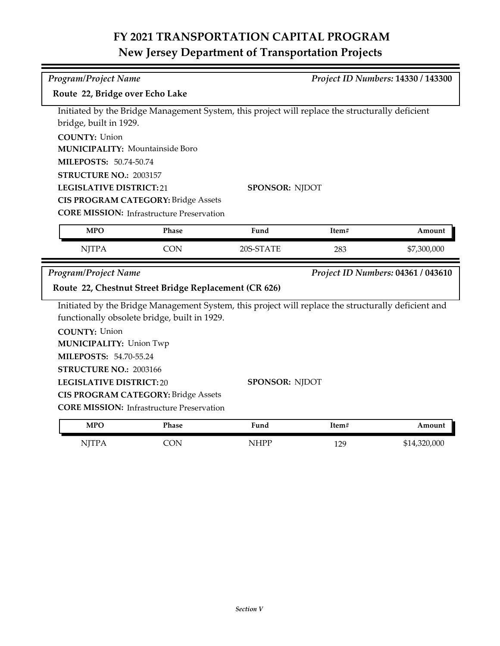# **FY 2021 TRANSPORTATION CAPITAL PROGRAM New Jersey Department of Transportation Projects**

| Project ID Numbers: 14330 / 143300<br><b>Program/Project Name</b>                               |                                                  |                                                                                                     |       |             |
|-------------------------------------------------------------------------------------------------|--------------------------------------------------|-----------------------------------------------------------------------------------------------------|-------|-------------|
| Route 22, Bridge over Echo Lake                                                                 |                                                  |                                                                                                     |       |             |
| Initiated by the Bridge Management System, this project will replace the structurally deficient |                                                  |                                                                                                     |       |             |
| bridge, built in 1929.                                                                          |                                                  |                                                                                                     |       |             |
| <b>COUNTY: Union</b>                                                                            |                                                  |                                                                                                     |       |             |
| <b>MUNICIPALITY: Mountainside Boro</b>                                                          |                                                  |                                                                                                     |       |             |
| MILEPOSTS: 50.74-50.74                                                                          |                                                  |                                                                                                     |       |             |
| STRUCTURE NO.: 2003157                                                                          |                                                  |                                                                                                     |       |             |
| <b>LEGISLATIVE DISTRICT:21</b>                                                                  |                                                  | <b>SPONSOR: NJDOT</b>                                                                               |       |             |
|                                                                                                 | <b>CIS PROGRAM CATEGORY: Bridge Assets</b>       |                                                                                                     |       |             |
|                                                                                                 | <b>CORE MISSION:</b> Infrastructure Preservation |                                                                                                     |       |             |
| <b>MPO</b>                                                                                      | Phase                                            | Fund                                                                                                | Item# | Amount      |
| <b>NJTPA</b>                                                                                    | <b>CON</b>                                       | 20S-STATE                                                                                           | 283   | \$7,300,000 |
| Project ID Numbers: 04361 / 043610<br><b>Program/Project Name</b>                               |                                                  |                                                                                                     |       |             |
| Route 22, Chestnut Street Bridge Replacement (CR 626)                                           |                                                  |                                                                                                     |       |             |
|                                                                                                 |                                                  | Initiated by the Bridge Management System, this project will replace the structurally deficient and |       |             |
|                                                                                                 | functionally obsolete bridge, built in 1929.     |                                                                                                     |       |             |
| <b>COUNTY: Union</b>                                                                            |                                                  |                                                                                                     |       |             |
| <b>MUNICIPALITY: Union Twp</b>                                                                  |                                                  |                                                                                                     |       |             |
| <b>MILEPOSTS: 54.70-55.24</b>                                                                   |                                                  |                                                                                                     |       |             |
| STRUCTURE NO.: 2003166                                                                          |                                                  |                                                                                                     |       |             |
| <b>LEGISLATIVE DISTRICT:20</b>                                                                  |                                                  | <b>SPONSOR: NJDOT</b>                                                                               |       |             |
|                                                                                                 | <b>CIS PROGRAM CATEGORY: Bridge Assets</b>       |                                                                                                     |       |             |
|                                                                                                 | <b>CORE MISSION:</b> Infrastructure Preservation |                                                                                                     |       |             |
| <b>MPO</b>                                                                                      | Phase                                            | Fund                                                                                                | Item# | Amount      |

| <b>MPO</b>   | Phase | Fund | Item# | Amount       |
|--------------|-------|------|-------|--------------|
| <b>NJTPA</b> | CON   | NHPP | 129   | \$14,320,000 |